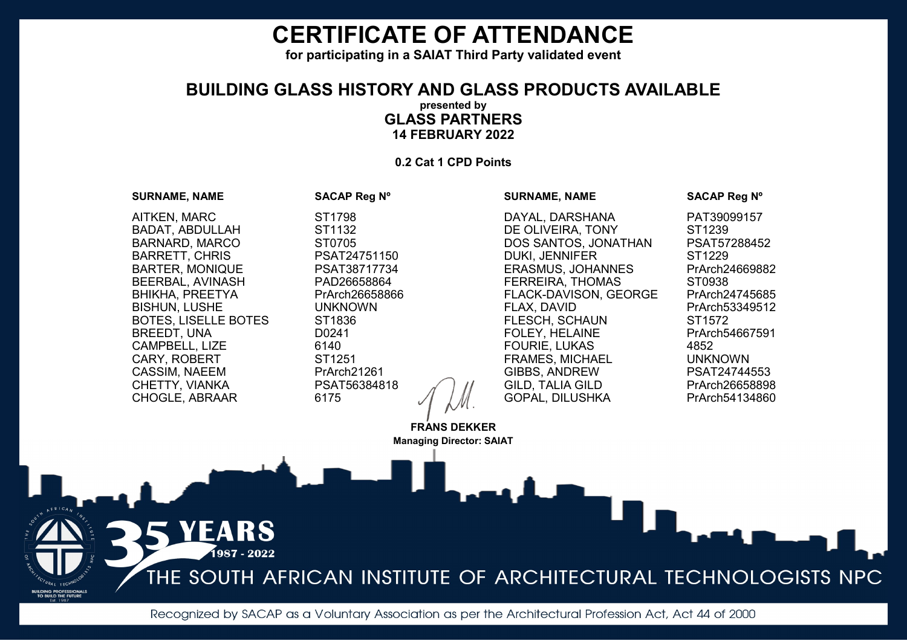**for participating in a SAIAT Third Party validated event**

## **BUILDING GLASS HISTORY AND GLASS PRODUCTS AVAILABLE presented by GLASS PARTNERS 14 FEBRUARY 2022**

**0.2 Cat 1 CPD Points** 

# **SURNAME, NAME SACAP Reg Nº** AITKEN, MARC ST1798 BADAT, ABDULLAH ST1132 BARNARD, MARCO ST0705 BARRETT, CHRIS<br>BARTER, MONIQUE PSAT38717734 BARTER, MONIQUE BEERBAL, AVINASH PAD26658864 BHIKHA, PREETYA PrArch26658866 BISHUN, LUSHE UNKNOWN BOTES, LISELLE BOTES ST1836<br>REFEDT UNA D0241 BREEDT, UNA CAMPBELL, LIZE 6140<br>CARY ROBERT 5T1251 CARY, ROBERT CASSIM, NAEEM PrArch21261 CHETTY, VIANKA PSAT56384818 CHOGLE, ABRAAR 6175

ARS 1987 - 2022

## DAYAL, DARSHANA PAT39099157 DE OLIVEIRA, TONY ST1239 DOS SANTOS, JONATHAN PSAT57288452<br>DUKL JENNIFER ST1229 DUKI, JENNIFER<br>ERASMUS, JOHANNES PrArch24669882 ERASMUS, JOHANNES FERREIRA, THOMAS ST0938 FLACK-DAVISON, GEORGE PrArch24745685<br>FLAX. DAVID PrArch53349512 FLESCH, SCHAUN ST1572<br>FOLEY. HELAINE PrArch54667591 FOLEY, HELAINE PRATC<br>FOURIF LUKAS 4852 FOURIE, LUKAS 4852 FRAMES, MICHAEL UNKNOWN **GIBBS, ANDREW** GILD, TALIA GILD PrArch26658898 GOPAL, DILUSHKA

### **SURNAME, NAME SACAP Reg Nº**

PrArch53349512

THE SOUTH AFRICAN INSTITUTE OF ARCHITECTURAL TECHNOLOGISTS NPC

Recognized by SACAP as a Voluntary Association as per the Architectural Profession Act, Act 44 of 2000

**FRANS DEKKER Managing Director: SAIAT**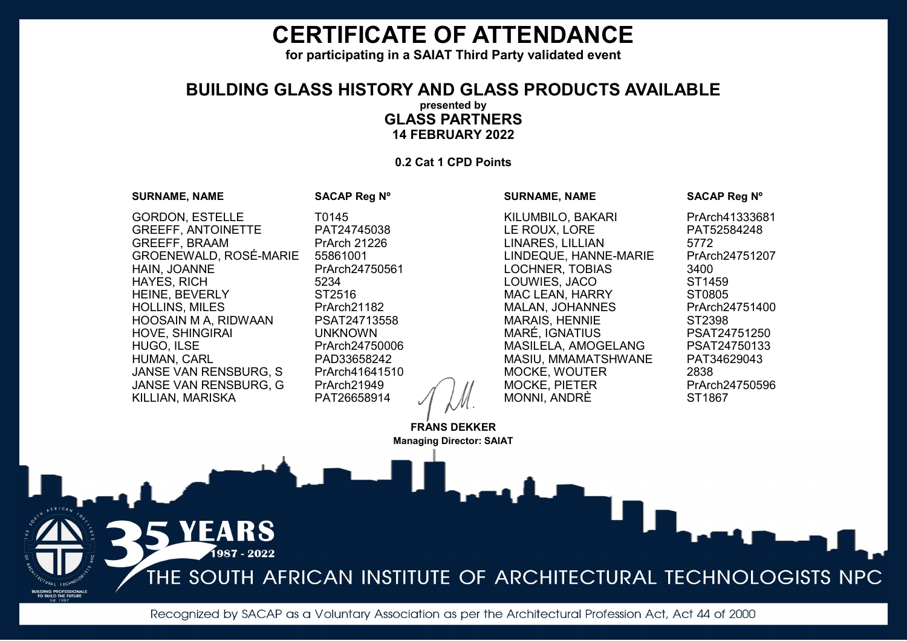**for participating in a SAIAT Third Party validated event**

## **BUILDING GLASS HISTORY AND GLASS PRODUCTS AVAILABLE presented by GLASS PARTNERS 14 FEBRUARY 2022**

**0.2 Cat 1 CPD Points** 

#### **SURNAME, NAME SACAP Reg Nº**

**SURNAME, NAME SACAP Reg Nº**

GORDON, ESTELLE T0145 GREEFF, ANTOINETTE PAT24745038 GREEFF, BRAAM PrArch 21226<br>GROENEWALD ROSÉ-MARIE 55861001 GROENEWALD, ROSÉ-MARIE<br>HAIN, JOANNE HAYES, RICH 5234<br>HEINE BEVERLY 5T2516 HEINE, BEVERLY HOLLINS, MILES PrArch21182 HOOSAIN M A, RIDWAAN PSAT24713558 HOVE, SHINGIRAI<br>HUGO. ILSE HUMAN, CARL PAD33658242 JANSE VAN RENSBURG, S PrArch41641510<br>JANSE VAN RENSBURG G PrArch21949 JANSE VAN RENSBURG, G PrArch21949 KILLIAN, MARISKA

> ARS 1987 - 2022

PrArch24750561<br>5234 PrArch24750006

KILUMBILO, BAKARI PrArch41333681 LE ROUX, LORE PAT52584248 LINARES, LILLIAN 5772<br>LINDEQUE, HANNE-MARIE PrArch24751207 LINDEQUE, HANNE-MARIE LOCHNER, TOBIAS 3400<br>COUWIES JACO 5T1459 LOUWIES, JACO MAC LEAN, HARRY ST0805 MALAN, JOHANNES PrArch24751400 MARAIS, HENNIE ST2398<br>MARÉ. IGNATIUS PSAT24751250 MARÉ, IGNATIUS PSAT24751250<br>MASILELA. AMOGELANG PSAT24750133 MASILELA, AMOGELANG MASIU, MMAMATSHWANE PAT34629043 MOCKE, WOUTER 2838 MOCKE, PIETER PRArch24750596<br>MONNI ANDRÈ ST1867 MONNI, ANDRÈ

THE SOUTH AFRICAN INSTITUTE OF ARCHITECTURAL TECHNOLOGISTS NPC

Recognized by SACAP as a Voluntary Association as per the Architectural Profession Act, Act 44 of 2000

**FRANS DEKKER Managing Director: SAIAT**